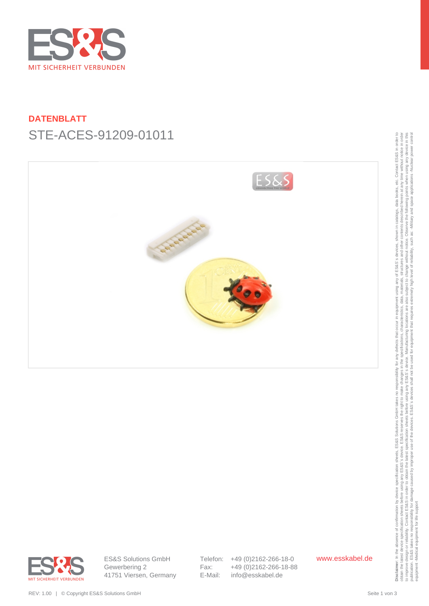

# **DATENBLATT** STE-ACES-91209-01011





ES&S Solutions GmbH Gewerbering 2 41751 Viersen, Germany Telefon: +49 (0)2162-266-18-0 Fax: +49 (0)2162-266-18-88 E-Mail: info@esskabel.de

www.esskabel.de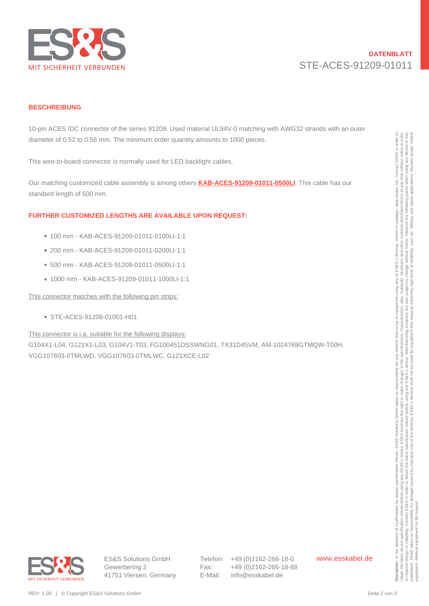

## **DATENBLATT** STE-ACES-91209-01011

#### **BESCHREIBUNG**

10-pin ACES IDC connector of the series 91209. Used material UL94V-0 matching with AWG32 strands with an outer diameter of 0.52 to 0.56 mm. The minimum order quantity amounts to 1000 pieces.

This wire-to-board connector is normally used for LED backlight cables.

Our matching customized cable assembly is among others **[KAB-ACES-91209-01011-0500LI](https://www.esskabel.de/en/product/kab-aces-91209-01011-0500li/)**. This cable has our standard length of 500 mm.

#### **FURTHER CUSTOMIZED LENGTHS ARE AVAILABLE UPON REQUEST:**

- 100 mm KAB-ACES-91209-01011-0100LI-1:1
- 200 mm KAB-ACES-91209-01011-0200LI-1:1
- 500 mm KAB-ACES-91209-01011-0500LI-1:1
- 1000 mm KAB-ACES-91209-01011-1000LI-1:1

This connector matches with the following pin strips:

STE-ACES-91208-01001-H01

This connector is i.a. suitable for the following displays:

G104X1-L04, G121X1-L03, G104V1-T03, FG100451DSSWNG01, TX31D45VM, AM-1024768GTMQW-T00H, VGG107603-0TMLWD, VGG107603-0TMLWC, G121XCE-L02 dianeer of 0.52 to 0.58 mm. The minimum crost quantity amounts to 1000 pieces.<br>
This win to accent commonly used for LED hastique ratios.<br>
Our manching suspension distribution is minimum crost and the state of the state o

Telefon: +49 (0)2162-266-18-0 Fax: +49 (0)2162-266-18-88 E-Mail: info@esskabel.de

www.esskabel.de